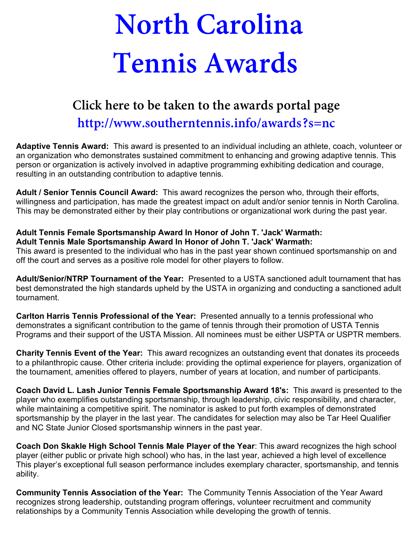# **North Carolina Tennis Awards**

## **Click here to be taken to the awards portal page <http://www.southerntennis.info/awards?s=nc>**

**Adaptive Tennis Award:** This award is presented to an individual including an athlete, coach, volunteer or an organization who demonstrates sustained commitment to enhancing and growing adaptive tennis. This person or organization is actively involved in adaptive programming exhibiting dedication and courage, resulting in an outstanding contribution to adaptive tennis.

**Adult / Senior Tennis Council Award:** This award recognizes the person who, through their efforts, willingness and participation, has made the greatest impact on adult and/or senior tennis in North Carolina. This may be demonstrated either by their play contributions or organizational work during the past year.

### **Adult Tennis Female Sportsmanship Award In Honor of John T. 'Jack' Warmath:**

**Adult Tennis Male Sportsmanship Award In Honor of John T. 'Jack' Warmath:** 

This award is presented to the individual who has in the past year shown continued sportsmanship on and off the court and serves as a positive role model for other players to follow.

**Adult/Senior/NTRP Tournament of the Year:** Presented to a USTA sanctioned adult tournament that has best demonstrated the high standards upheld by the USTA in organizing and conducting a sanctioned adult tournament.

**Carlton Harris Tennis Professional of the Year:** Presented annually to a tennis professional who demonstrates a significant contribution to the game of tennis through their promotion of USTA Tennis Programs and their support of the USTA Mission. All nominees must be either USPTA or USPTR members.

**Charity Tennis Event of the Year:** This award recognizes an outstanding event that donates its proceeds to a philanthropic cause. Other criteria include: providing the optimal experience for players, organization of the tournament, amenities offered to players, number of years at location, and number of participants.

**Coach David L. Lash Junior Tennis Female Sportsmanship Award 18's:** This award is presented to the player who exemplifies outstanding sportsmanship, through leadership, civic responsibility, and character, while maintaining a competitive spirit. The nominator is asked to put forth examples of demonstrated sportsmanship by the player in the last year. The candidates for selection may also be Tar Heel Qualifier and NC State Junior Closed sportsmanship winners in the past year.

**Coach Don Skakle High School Tennis Male Player of the Year**: This award recognizes the high school player (either public or private high school) who has, in the last year, achieved a high level of excellence This player's exceptional full season performance includes exemplary character, sportsmanship, and tennis ability.

**Community Tennis Association of the Year:** The Community Tennis Association of the Year Award recognizes strong leadership, outstanding program offerings, volunteer recruitment and community relationships by a Community Tennis Association while developing the growth of tennis.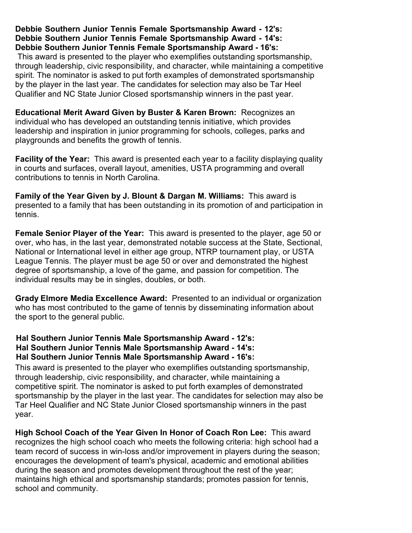#### **Debbie Southern Junior Tennis Female Sportsmanship Award - 12's: Debbie Southern Junior Tennis Female Sportsmanship Award - 14's: Debbie Southern Junior Tennis Female Sportsmanship Award - 16's:**

This award is presented to the player who exemplifies outstanding sportsmanship, through leadership, civic responsibility, and character, while maintaining a competitive spirit. The nominator is asked to put forth examples of demonstrated sportsmanship by the player in the last year. The candidates for selection may also be Tar Heel Qualifier and NC State Junior Closed sportsmanship winners in the past year.

**Educational Merit Award Given by Buster & Karen Brown:** Recognizes an individual who has developed an outstanding tennis initiative, which provides leadership and inspiration in junior programming for schools, colleges, parks and playgrounds and benefits the growth of tennis.

**Facility of the Year:** This award is presented each year to a facility displaying quality in courts and surfaces, overall layout, amenities, USTA programming and overall contributions to tennis in North Carolina.

**Family of the Year Given by J. Blount & Dargan M. Williams:** This award is presented to a family that has been outstanding in its promotion of and participation in tennis.

**Female Senior Player of the Year:** This award is presented to the player, age 50 or over, who has, in the last year, demonstrated notable success at the State, Sectional, National or International level in either age group, NTRP tournament play, or USTA League Tennis. The player must be age 50 or over and demonstrated the highest degree of sportsmanship, a love of the game, and passion for competition. The individual results may be in singles, doubles, or both.

**Grady Elmore Media Excellence Award:** Presented to an individual or organization who has most contributed to the game of tennis by disseminating information about the sport to the general public.

#### **Hal Southern Junior Tennis Male Sportsmanship Award - 12's: Hal Southern Junior Tennis Male Sportsmanship Award - 14's: Hal Southern Junior Tennis Male Sportsmanship Award - 16's:**

This award is presented to the player who exemplifies outstanding sportsmanship, through leadership, civic responsibility, and character, while maintaining a competitive spirit. The nominator is asked to put forth examples of demonstrated sportsmanship by the player in the last year. The candidates for selection may also be Tar Heel Qualifier and NC State Junior Closed sportsmanship winners in the past year.

**High School Coach of the Year Given In Honor of Coach Ron Lee:** This award recognizes the high school coach who meets the following criteria: high school had a team record of success in win-loss and/or improvement in players during the season; encourages the development of team's physical, academic and emotional abilities during the season and promotes development throughout the rest of the year; maintains high ethical and sportsmanship standards; promotes passion for tennis, school and community.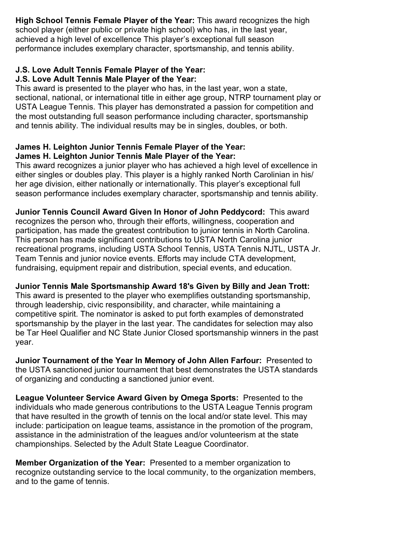**High School Tennis Female Player of the Year:** This award recognizes the high school player (either public or private high school) who has, in the last year, achieved a high level of excellence This player's exceptional full season performance includes exemplary character, sportsmanship, and tennis ability.

#### **J.S. Love Adult Tennis Female Player of the Year: J.S. Love Adult Tennis Male Player of the Year:**

year.

This award is presented to the player who has, in the last year, won a state, sectional, national, or international title in either age group, NTRP tournament play or USTA League Tennis. This player has demonstrated a passion for competition and the most outstanding full season performance including character, sportsmanship and tennis ability. The individual results may be in singles, doubles, or both.

#### **James H. Leighton Junior Tennis Female Player of the Year: James H. Leighton Junior Tennis Male Player of the Year:**

This award recognizes a junior player who has achieved a high level of excellence in either singles or doubles play. This player is a highly ranked North Carolinian in his/ her age division, either nationally or internationally. This player's exceptional full season performance includes exemplary character, sportsmanship and tennis ability.

**Junior Tennis Council Award Given In Honor of John Peddycord:** This award recognizes the person who, through their efforts, willingness, cooperation and participation, has made the greatest contribution to junior tennis in North Carolina. This person has made significant contributions to USTA North Carolina junior recreational programs, including USTA School Tennis, USTA Tennis NJTL, USTA Jr. Team Tennis and junior novice events. Efforts may include CTA development, fundraising, equipment repair and distribution, special events, and education.

**Junior Tennis Male Sportsmanship Award 18's Given by Billy and Jean Trott:**  This award is presented to the player who exemplifies outstanding sportsmanship, through leadership, civic responsibility, and character, while maintaining a competitive spirit. The nominator is asked to put forth examples of demonstrated sportsmanship by the player in the last year. The candidates for selection may also be Tar Heel Qualifier and NC State Junior Closed sportsmanship winners in the past

**Junior Tournament of the Year In Memory of John Allen Farfour:** Presented to the USTA sanctioned junior tournament that best demonstrates the USTA standards of organizing and conducting a sanctioned junior event.

**League Volunteer Service Award Given by Omega Sports:** Presented to the individuals who made generous contributions to the USTA League Tennis program that have resulted in the growth of tennis on the local and/or state level. This may include: participation on league teams, assistance in the promotion of the program, assistance in the administration of the leagues and/or volunteerism at the state championships. Selected by the Adult State League Coordinator.

**Member Organization of the Year:** Presented to a member organization to recognize outstanding service to the local community, to the organization members, and to the game of tennis.